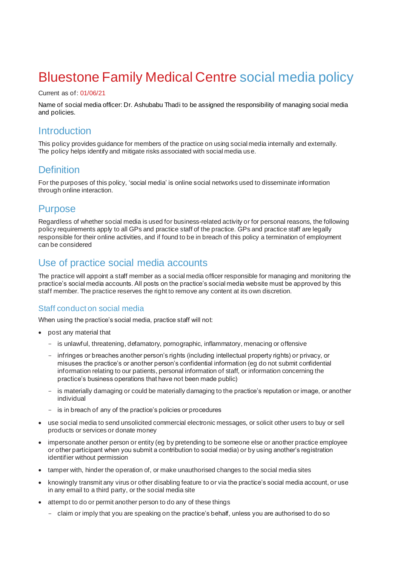# Bluestone Family Medical Centre social media policy

#### Current as of: 01/06/21

Name of social media officer: Dr. Ashubabu Thadi to be assigned the responsibility of managing social media and policies.

### **Introduction**

This policy provides guidance for members of the practice on using social media internally and externally. The policy helps identify and mitigate risks associated with social media use.

# **Definition**

For the purposes of this policy, 'social media' is online social networks used to disseminate information through online interaction.

# Purpose

Regardless of whether social media is used for business-related activity or for personal reasons, the following policy requirements apply to all GPs and practice staff of the practice. GPs and practice staff are legally responsible for their online activities, and if found to be in breach of this policy a termination of employment can be considered

# Use of practice social media accounts

The practice will appoint a staff member as a social media officer responsible for managing and monitoring the practice's social media accounts. All posts on the practice's social media website must be approved by this staff member. The practice reserves the right to remove any content at its own discretion.

#### Staff conduct on social media

When using the practice's social media, practice staff will not:

- post any material that
	- is unlawful, threatening, defamatory, pornographic, inflammatory, menacing or offensive
	- infringes or breaches another person's rights (including intellectual property rights) or privacy, or misuses the practice's or another person's confidential information (eg do not submit confidential information relating to our patients, personal information of staff, or information concerning the practice's business operations that have not been made public)
	- is materially damaging or could be materially damaging to the practice's reputation or image, or another individual
	- is in breach of any of the practice's policies or procedures
- use social media to send unsolicited commercial electronic messages, or solicit other users to buy or sell products or services or donate money
- impersonate another person or entity (eg by pretending to be someone else or another practice employee or other participant when you submit a contribution to social media) or by using another's registration identifier without permission
- tamper with, hinder the operation of, or make unauthorised changes to the social media sites
- knowingly transmit any virus or other disabling feature to or via the practice's social media account, or use in any email to a third party, or the social media site
- attempt to do or permit another person to do any of these things
	- claim or imply that you are speaking on the practice's behalf, unless you are authorised to do so